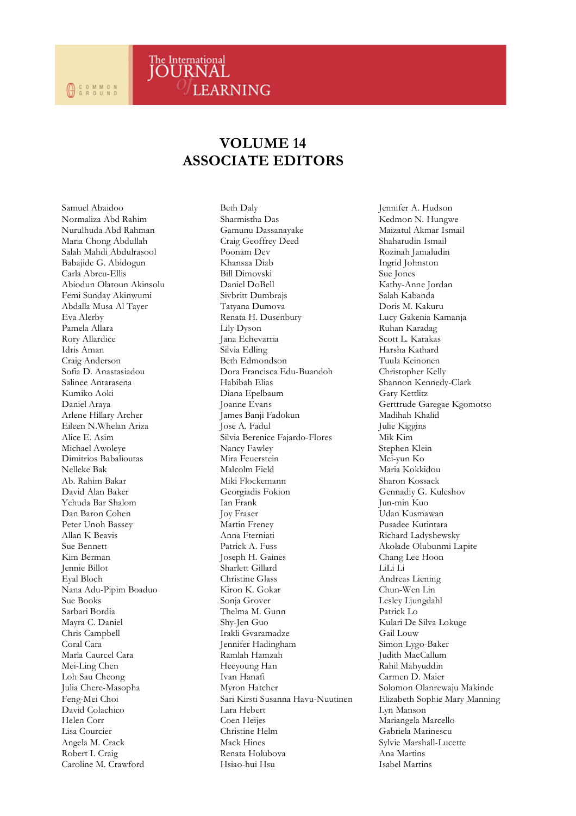## **VOLUME 14 ASSOCIATE EDITORS**

**LEARNING** 

The International<br>JOURNAL

Samuel Abaidoo Normaliza Abd Rahim Nurulhuda Abd Rahman Maria Chong Abdullah Salah Mahdi Abdulrasool Babajide G. Abidogun Carla Abreu-Ellis Abiodun Olatoun Akinsolu Femi Sunday Akinwumi Abdalla Musa Al Tayer Eva Alerby Pamela Allara Rory Allardice Idris Aman Craig Anderson Sofia D. Anastasiadou Salinee Antarasena Kumiko Aoki Daniel Araya Arlene Hillary Archer Eileen N.Whelan Ariza Alice E. Asim Michael Awoleye Dimitrios Babalioutas Nelleke Bak Ab. Rahim Bakar David Alan Baker Yehuda Bar Shalom Dan Baron Cohen Peter Unoh Bassey Allan K Beavis Sue Bennett Kim Berman Jennie Billot Eyal Bloch Nana Adu-Pipim Boaduo Sue Books Sarbari Bordia Mayra C. Daniel Chris Campbell Coral Cara Marìa Caurcel Cara Mei-Ling Chen Loh Sau Cheong Julia Chere-Masopha Feng-Mei Choi David Colachico Helen Corr Lisa Courcier Angela M. Crack Robert I. Craig Caroline M. Crawford

Beth Daly Sharmistha Das Gamunu Dassanayake Craig Geoffrey Deed Poonam Dev Khansaa Diab Bill Dimovski Daniel DoBell Sivbritt Dumbrajs Tatyana Dumova Renata H. Dusenbury Lily Dyson Jana Echevarria Silvia Edling Beth Edmondson Dora Francisca Edu-Buandoh Habibah Elias Diana Epelbaum Joanne Evans James Banji Fadokun Jose A. Fadul Silvia Berenice Fajardo-Flores Nancy Fawley Mira Feuerstein Malcolm Field Miki Flockemann Georgiadis Fokion Ian Frank Joy Fraser Martin Freney Anna Fterniati Patrick A. Fuss Joseph H. Gaines Sharlett Gillard Christine Glass Kiron K. Gokar Sonja Grover Thelma M. Gunn Shy-Jen Guo Irakli Gvaramadze Jennifer Hadingham Ramlah Hamzah Heeyoung Han Ivan Hanafi Myron Hatcher Sari Kirsti Susanna Havu-Nuutinen Lara Hebert Coen Heijes Christine Helm Mack Hines Renata Holubova Hsiao-hui Hsu

Jennifer A. Hudson Kedmon N. Hungwe Maizatul Akmar Ismail Shaharudin Ismail Rozinah Jamaludin Ingrid Johnston Sue Jones Kathy-Anne Jordan Salah Kabanda Doris M. Kakuru Lucy Gakenia Kamanja Ruhan Karadag Scott L. Karakas Harsha Kathard Tuula Keinonen Christopher Kelly Shannon Kennedy-Clark Gary Kettlitz Gerttrude Garegae Kgomotso Madihah Khalid Julie Kiggins Mik Kim Stephen Klein Mei-yun Ko Maria Kokkidou Sharon Kossack Gennadiy G. Kuleshov Jun-min Kuo Udan Kusmawan Pusadee Kutintara Richard Ladyshewsky Akolade Olubunmi Lapite Chang Lee Hoon LiLi Li Andreas Liening Chun-Wen Lin Lesley Ljungdahl Patrick Lo Kulari De Silva Lokuge Gail Louw Simon Lygo-Baker Judith MacCallum Rahil Mahyuddin Carmen D. Maier Solomon Olanrewaju Makinde Elizabeth Sophie Mary Manning Lyn Manson Mariangela Marcello Gabriela Marinescu Sylvie Marshall-Lucette Ana Martins Isabel Martins